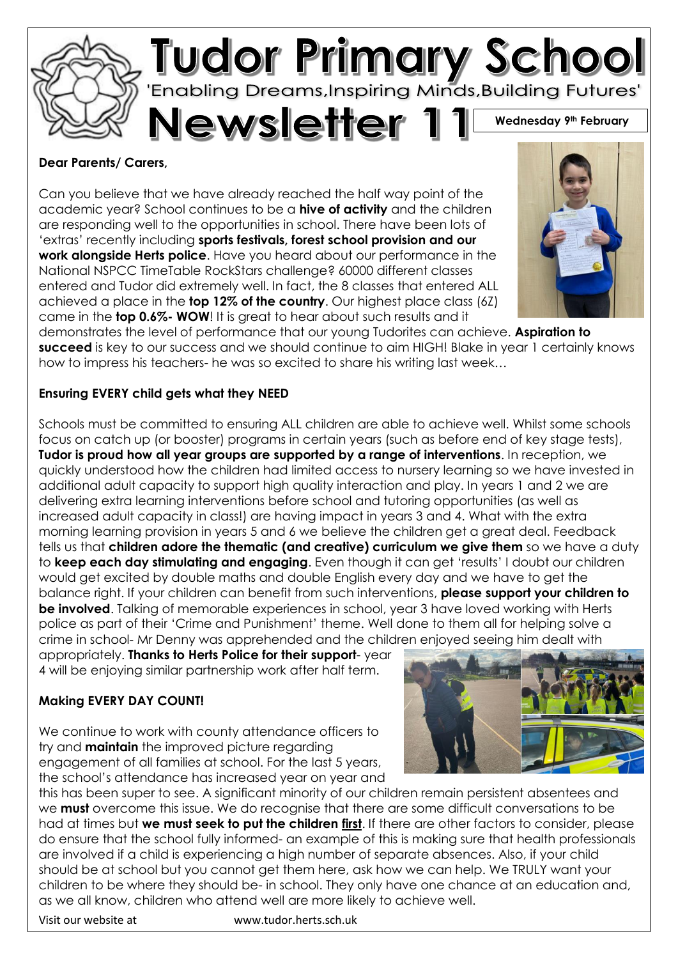

### **Dear Parents/ Carers,**

Can you believe that we have already reached the half way point of the academic year? School continues to be a **hive of activity** and the children are responding well to the opportunities in school. There have been lots of 'extras' recently including **sports festivals, forest school provision and our work alongside Herts police**. Have you heard about our performance in the National NSPCC TimeTable RockStars challenge? 60000 different classes entered and Tudor did extremely well. In fact, the 8 classes that entered ALL achieved a place in the **top 12% of the country**. Our highest place class (6Z) came in the **top 0.6%- WOW**! It is great to hear about such results and it

demonstrates the level of performance that our young Tudorites can achieve. **Aspiration to succeed** is key to our success and we should continue to aim HIGH! Blake in year 1 certainly knows how to impress his teachers- he was so excited to share his writing last week…

# **Ensuring EVERY child gets what they NEED**

Schools must be committed to ensuring ALL children are able to achieve well. Whilst some schools focus on catch up (or booster) programs in certain years (such as before end of key stage tests), **Tudor is proud how all year groups are supported by a range of interventions**. In reception, we quickly understood how the children had limited access to nursery learning so we have invested in additional adult capacity to support high quality interaction and play. In years 1 and 2 we are delivering extra learning interventions before school and tutoring opportunities (as well as increased adult capacity in class!) are having impact in years 3 and 4. What with the extra morning learning provision in years 5 and 6 we believe the children get a great deal. Feedback tells us that **children adore the thematic (and creative) curriculum we give them** so we have a duty to **keep each day stimulating and engaging**. Even though it can get 'results' I doubt our children would get excited by double maths and double English every day and we have to get the balance right. If your children can benefit from such interventions, **please support your children to be involved**. Talking of memorable experiences in school, year 3 have loved working with Herts police as part of their 'Crime and Punishment' theme. Well done to them all for helping solve a crime in school- Mr Denny was apprehended and the children enjoyed seeing him dealt with

appropriately. **Thanks to Herts Police for their support**- year 4 will be enjoying similar partnership work after half term.

# **Making EVERY DAY COUNT!**

We continue to work with county attendance officers to try and **maintain** the improved picture regarding engagement of all families at school. For the last 5 years, the school's attendance has increased year on year and



this has been super to see. A significant minority of our children remain persistent absentees and we **must** overcome this issue. We do recognise that there are some difficult conversations to be had at times but **we must seek to put the children first**. If there are other factors to consider, please do ensure that the school fully informed- an example of this is making sure that health professionals are involved if a child is experiencing a high number of separate absences. Also, if your child should be at school but you cannot get them here, ask how we can help. We TRULY want your children to be where they should be- in school. They only have one chance at an education and, as we all know, children who attend well are more likely to achieve well.

Visit our website at www.tudor.herts.sch.uk